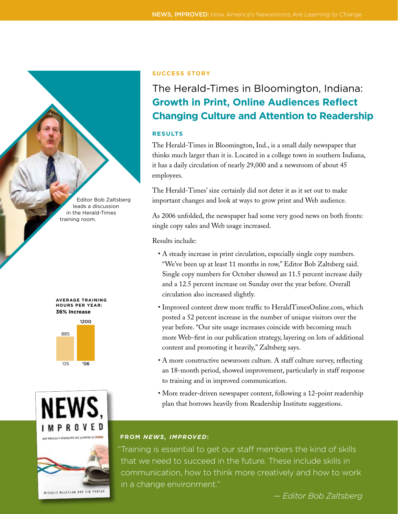Editor Bob Zaltsberg leads a discussion in the Herald-Times training room.









### **Success Story**

## The Herald-Times in Bloomington, Indiana: **Growth in Print, Online Audiences Reflect Changing Culture and Attention to Readership**

### **RESULTS**

The Herald-Times in Bloomington, Ind., is a small daily newspaper that thinks much larger than it is. Located in a college town in southern Indiana, it has a daily circulation of nearly 29,000 and a newsroom of about 45 employees.

The Herald-Times' size certainly did not deter it as it set out to make important changes and look at ways to grow print and Web audience.

As 2006 unfolded, the newspaper had some very good news on both fronts: single copy sales and Web usage increased.

Results include:

- A steady increase in print circulation, especially single copy numbers. "We've been up at least 11 months in row," Editor Bob Zaltsberg said. Single copy numbers for October showed an 11.5 percent increase daily and a 12.5 percent increase on Sunday over the year before. Overall circulation also increased slightly.
- Improved content drew more traffic to HeraldTimesOnline.com, which posted a 52 percent increase in the number of unique visitors over the year before. "Our site usage increases coincide with becoming much more Web-first in our publication strategy, layering on lots of additional content and promoting it heavily," Zaltsberg says.
- A more constructive newsroom culture. A staff culture survey, reflecting an 18-month period, showed improvement, particularly in staff response to training and in improved communication.
- More reader-driven newspaper content, following a 12-point readership plan that borrows heavily from Readership Institute suggestions.

### **FROM** *NEWS, IMPROVED***:**

"Training is essential to get our staff members the kind of skills that we need to succeed in the future. These include skills in communication, how to think more creatively and how to work in a change environment."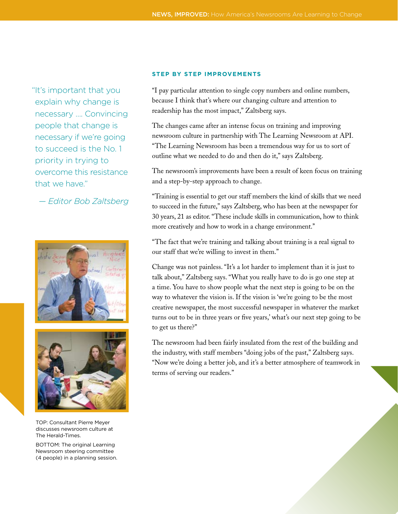"It's important that you explain why change is necessary …. Convincing people that change is necessary if we're going to succeed is the No. 1 priority in trying to overcome this resistance that we have."

*— Editor Bob Zaltsberg*





TOP: Consultant Pierre Meyer discusses newsroom culture at The Herald-Times.

BOTTOM: The original Learning Newsroom steering committee (4 people) in a planning session.

### **STEP BY STEP IMPROVEMENTS**

"I pay particular attention to single copy numbers and online numbers, because I think that's where our changing culture and attention to readership has the most impact," Zaltsberg says.

The changes came after an intense focus on training and improving newsroom culture in partnership with The Learning Newsroom at API. "The Learning Newsroom has been a tremendous way for us to sort of outline what we needed to do and then do it," says Zaltsberg.

The newsroom's improvements have been a result of keen focus on training and a step-by-step approach to change.

"Training is essential to get our staff members the kind of skills that we need to succeed in the future," says Zaltsberg, who has been at the newspaper for 30 years, 21 as editor. "These include skills in communication, how to think more creatively and how to work in a change environment.''

"The fact that we're training and talking about training is a real signal to our staff that we're willing to invest in them."

Change was not painless. "It's a lot harder to implement than it is just to talk about," Zaltsberg says. "What you really have to do is go one step at a time. You have to show people what the next step is going to be on the way to whatever the vision is. If the vision is 'we're going to be the most creative newspaper, the most successful newspaper in whatever the market turns out to be in three years or five years,' what's our next step going to be to get us there?"

The newsroom had been fairly insulated from the rest of the building and the industry, with staff members "doing jobs of the past," Zaltsberg says. "Now we're doing a better job, and it's a better atmosphere of teamwork in terms of serving our readers."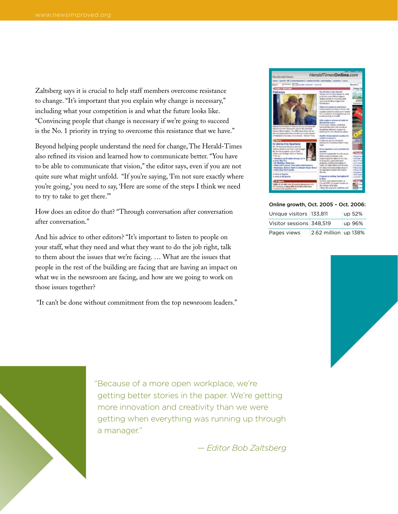Zaltsberg says it is crucial to help staff members overcome resistance to change. "It's important that you explain why change is necessary," including what your competition is and what the future looks like. "Convincing people that change is necessary if we're going to succeed is the No. 1 priority in trying to overcome this resistance that we have."

Beyond helping people understand the need for change, The Herald-Times also refined its vision and learned how to communicate better. "You have to be able to communicate that vision," the editor says, even if you are not quite sure what might unfold. "If you're saying, 'I'm not sure exactly where you're going,' you need to say, 'Here are some of the steps I think we need to try to take to get there.'"

How does an editor do that? "Through conversation after conversation after conversation."

And his advice to other editors? "It's important to listen to people on your staff, what they need and what they want to do the job right, talk to them about the issues that we're facing. … What are the issues that people in the rest of the building are facing that are having an impact on what we in the newsroom are facing, and how are we going to work on those issues together?

"It can't be done without commitment from the top newsroom leaders."



#### Online growth, Oct. 2005 – Oct. 2006:

| Unique visitors 133,811  |                      | up 52% |
|--------------------------|----------------------|--------|
| Visitor sessions 348,519 |                      | up 96% |
| Pages views              | 2.62 million up 138% |        |





"Because of a more open workplace, we're getting better stories in the paper. We're getting more innovation and creativity than we were getting when everything was running up through a manager."

*— Editor Bob Zaltsberg*